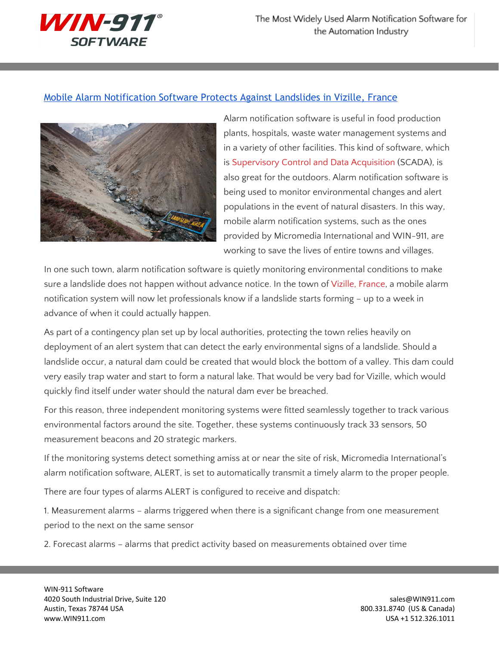

## Mobile Alarm [Notification](http://www.win911.com/mobile-alarm-software-protects-against-landslides/) Software Protects Against Landslides in Vizille, France



Alarm notification software is useful in food production plants, hospitals, waste water management systems and in a variety of other facilities. This kind of software, which is [Supervisory](http://www.win911.com/scada-alarm-notification/) Control and Data Acquisition (SCADA), is also great for the outdoors. Alarm notification software is being used to monitor environmental changes and alert populations in the event of natural disasters. In this way, mobile alarm notification systems, such as the ones provided by Micromedia International and WIN-911, are working to save the lives of entire towns and villages.

In one such town, alarm notification software is quietly monitoring environmental conditions to make sure a landslide does not happen without advance notice. In the town of Vizille, [France,](http://en.wikipedia.org/wiki/Vizille) a mobile alarm notification system will now let professionals know if a landslide starts forming – up to a week in advance of when it could actually happen.

As part of a contingency plan set up by local authorities, protecting the town relies heavily on deployment of an alert system that can detect the early environmental signs of a landslide. Should a landslide occur, a natural dam could be created that would block the bottom of a valley. This dam could very easily trap water and start to form a natural lake. That would be very bad for Vizille, which would quickly find itself under water should the natural dam ever be breached.

For this reason, three independent monitoring systems were fitted seamlessly together to track various environmental factors around the site. Together, these systems continuously track 33 sensors, 50 measurement beacons and 20 strategic markers.

If the monitoring systems detect something amiss at or near the site of risk, Micromedia International's alarm notification software, ALERT, is set to automatically transmit a timely alarm to the proper people.

There are four types of alarms ALERT is configured to receive and dispatch:

1. Measurement alarms – alarms triggered when there is a significant change from one measurement period to the next on the same sensor

2. Forecast alarms – alarms that predict activity based on measurements obtained over time